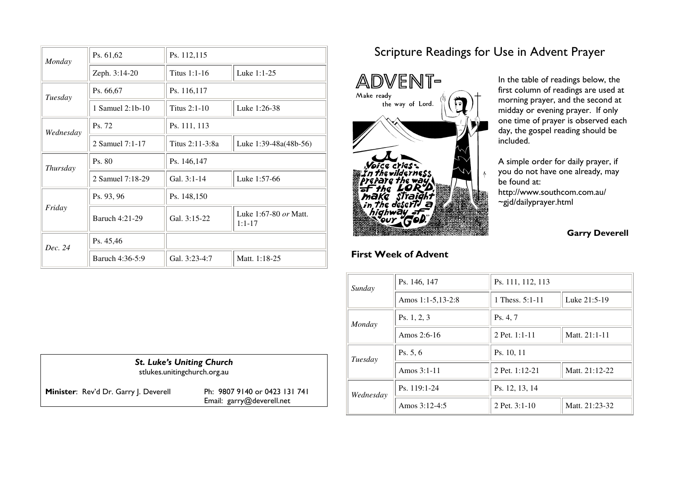| Monday    | Ps. 61,62        | Ps. 112,115     |                                     |
|-----------|------------------|-----------------|-------------------------------------|
|           | Zeph. 3:14-20    | Titus 1:1-16    | Luke 1:1-25                         |
| Tuesday   | Ps. 66,67        | Ps. 116,117     |                                     |
|           | 1 Samuel 2:1b-10 | Titus $2:1-10$  | Luke 1:26-38                        |
| Wednesday | Ps. 72           | Ps. 111, 113    |                                     |
|           | 2 Samuel 7:1-17  | Titus 2:11-3:8a | Luke $1:39-48a(48b-56)$             |
| Thursday  | Ps. 80           | Ps. 146,147     |                                     |
|           | 2 Samuel 7:18-29 | Gal. 3:1-14     | Luke 1:57-66                        |
|           | Ps. 93, 96       | Ps. 148,150     |                                     |
| Friday    | Baruch 4:21-29   | Gal. 3:15-22    | Luke 1:67-80 or Matt.<br>$1:1 - 17$ |
| Dec. 24   | Ps. 45,46        |                 |                                     |
|           | Baruch 4:36-5:9  | Gal. 3:23-4:7   | Matt. 1:18-25                       |

# Scripture Readings for Use in Advent Prayer

i



First Week of Advent

In the table of readings below, the first column of readings are used at morning prayer, and the second at midday or evening prayer. If only one time of prayer is observed each day, the gospel reading should be included.

A simple order for daily prayer, if i you do not have one already, may be found at: http://www.southcom.com.au/  $\sim$ gjd/dailyprayer.html

#### Garry Deverell

| Sunday                | Ps. 146, 147      | Ps. 111, 112, 113 |                |
|-----------------------|-------------------|-------------------|----------------|
|                       | Amos 1:1-5,13-2:8 | 1 Thess. $5:1-11$ | Luke 21:5-19   |
| Ps. 1, 2, 3<br>Monday |                   | Ps. 4, 7          |                |
|                       | Amos $2:6-16$     | 2 Pet. $1:1-11$   | Matt. 21:1-11  |
| Tuesday               | Ps. $5, 6$        | Ps. 10, 11        |                |
|                       | Amos $3:1-11$     | 2 Pet. 1:12-21    | Matt. 21:12-22 |
| Wednesday             | Ps. 119:1-24      | Ps. 12, 13, 14    |                |
|                       | Amos 3:12-4:5     | 2 Pet. $3:1-10$   | Matt. 21:23-32 |

| <b>St. Luke's Uniting Church</b><br>stlukes.unitingchurch.org.au |                                                            |  |  |
|------------------------------------------------------------------|------------------------------------------------------------|--|--|
| Minister: Rev'd Dr. Garry J. Deverell                            | Ph: 9807 9140 or 0423 131 741<br>Email: garry@deverell.net |  |  |